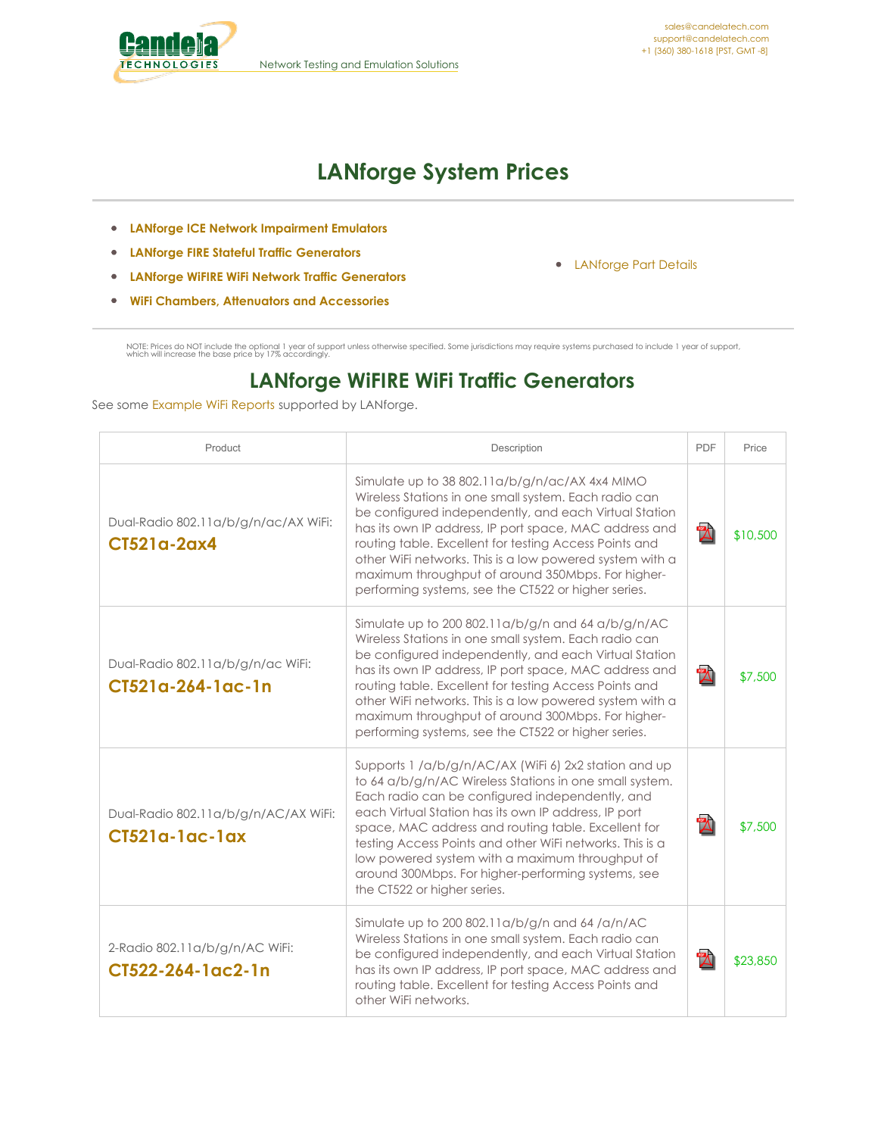<span id="page-0-0"></span>

# **LANforge System Prices**

- **LANforge ICE Network [Impairment](#page-0-0) Emulators**
- **LANforge FIRE Stateful Traffic [Generators](#page-0-0)**
- **LANforge WiFIRE WiFi Network Traffic [Generators](#page-0-0)**
- **WiFi Chambers, Attenuators and [Accessories](#page-0-0)**

[LANforge](http://www.candelatech.com/lf_parts.php) Part Details

NOTE: Prices do NOT include the optional 1 year of support unless otherwise specified. Some jurisdictions may require systems purchased to include 1 year of support,<br>which will increase the base price by 17% accordingly.

### **LANforge WiFIRE WiFi Traffic Generators**

See some [Example](http://www.candelatech.com/lf_wifi_reports.php) WiFi Reports supported by LANforge.

| Product                                                | Description                                                                                                                                                                                                                                                                                                                                                                                                                                                                            | PDF          | Price    |
|--------------------------------------------------------|----------------------------------------------------------------------------------------------------------------------------------------------------------------------------------------------------------------------------------------------------------------------------------------------------------------------------------------------------------------------------------------------------------------------------------------------------------------------------------------|--------------|----------|
| Dual-Radio 802.11a/b/g/n/ac/AX WiFi:<br>CT521a-2ax4    | Simulate up to 38 802.11a/b/g/n/ac/AX 4x4 MIMO<br>Wireless Stations in one small system. Each radio can<br>be configured independently, and each Virtual Station<br>has its own IP address, IP port space, MAC address and<br>routing table. Excellent for testing Access Points and<br>other WiFi networks. This is a low powered system with a<br>maximum throughput of around 350Mbps. For higher-<br>performing systems, see the CT522 or higher series.                           | $\mathbb{Z}$ | \$10,500 |
| Dual-Radio 802.11a/b/g/n/ac WiFi:<br>CT521a-264-1ac-1n | Simulate up to 200 802.11a/b/g/n and 64 a/b/g/n/AC<br>Wireless Stations in one small system. Each radio can<br>be configured independently, and each Virtual Station<br>has its own IP address, IP port space, MAC address and<br>routing table. Excellent for testing Access Points and<br>other WiFi networks. This is a low powered system with a<br>maximum throughput of around 300Mbps. For higher-<br>performing systems, see the CT522 or higher series.                       | $\mathbb{Z}$ | \$7,500  |
| Dual-Radio 802.11a/b/g/n/AC/AX WiFi:<br>CT521a-1ac-1ax | Supports 1 /a/b/g/n/AC/AX (WiFi 6) 2x2 station and up<br>to 64 a/b/g/n/AC Wireless Stations in one small system.<br>Each radio can be configured independently, and<br>each Virtual Station has its own IP address, IP port<br>space, MAC address and routing table. Excellent for<br>testing Access Points and other WiFi networks. This is a<br>low powered system with a maximum throughput of<br>around 300Mbps. For higher-performing systems, see<br>the CT522 or higher series. | $\mathbb{Z}$ | \$7,500  |
| 2-Radio 802.11a/b/g/n/AC WiFi:<br>CT522-264-1ac2-1n    | Simulate up to 200 802.11a/b/g/n and 64/a/n/AC<br>Wireless Stations in one small system. Each radio can<br>be configured independently, and each Virtual Station<br>has its own IP address, IP port space, MAC address and<br>routing table. Excellent for testing Access Points and<br>other WiFi networks.                                                                                                                                                                           | $\mathbb{Z}$ | \$23,850 |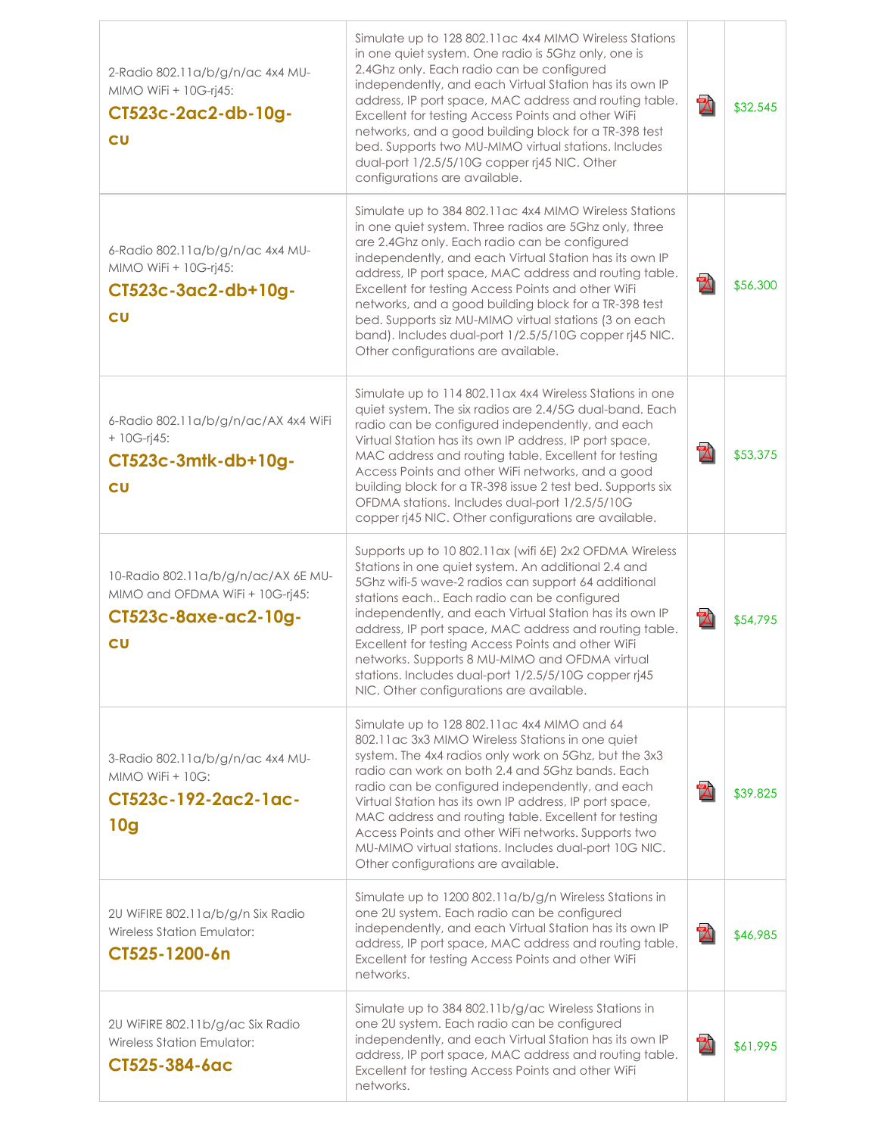| 2-Radio 802.11a/b/g/n/ac 4x4 MU-<br>MIMO WiFi + 10G-rj45:<br>CT523c-2ac2-db-10g-<br>cu               | Simulate up to 128 802.11 ac 4x4 MIMO Wireless Stations<br>in one quiet system. One radio is 5Ghz only, one is<br>2.4Ghz only. Each radio can be configured<br>independently, and each Virtual Station has its own IP<br>address, IP port space, MAC address and routing table.<br>Excellent for testing Access Points and other WiFi<br>networks, and a good building block for a TR-398 test<br>bed. Supports two MU-MIMO virtual stations. Includes<br>dual-port 1/2.5/5/10G copper rj45 NIC. Other<br>configurations are available.                         | $\mathbb{Z}$ | \$32,545 |
|------------------------------------------------------------------------------------------------------|-----------------------------------------------------------------------------------------------------------------------------------------------------------------------------------------------------------------------------------------------------------------------------------------------------------------------------------------------------------------------------------------------------------------------------------------------------------------------------------------------------------------------------------------------------------------|--------------|----------|
| 6-Radio 802.11a/b/g/n/ac 4x4 MU-<br>MIMO WiFi + 10G-rj45:<br>CT523c-3ac2-db+10g-<br>cu               | Simulate up to 384 802.11 ac 4x4 MIMO Wireless Stations<br>in one quiet system. Three radios are 5Ghz only, three<br>are 2.4Ghz only. Each radio can be configured<br>independently, and each Virtual Station has its own IP<br>address, IP port space, MAC address and routing table.<br>Excellent for testing Access Points and other WiFi<br>networks, and a good building block for a TR-398 test<br>bed. Supports siz MU-MIMO virtual stations (3 on each<br>band). Includes dual-port 1/2.5/5/10G copper rj45 NIC.<br>Other configurations are available. | $\mathbb{Z}$ | \$56,300 |
| 6-Radio 802.11a/b/g/n/ac/AX 4x4 WiFi<br>$+ 10G-rj45:$<br>CT523c-3mtk-db+10g-<br>c <sub>U</sub>       | Simulate up to 114 802.11ax 4x4 Wireless Stations in one<br>quiet system. The six radios are 2.4/5G dual-band. Each<br>radio can be configured independently, and each<br>Virtual Station has its own IP address, IP port space,<br>MAC address and routing table. Excellent for testing<br>Access Points and other WiFi networks, and a good<br>building block for a TR-398 issue 2 test bed. Supports six<br>OFDMA stations. Includes dual-port 1/2.5/5/10G<br>copper rj45 NIC. Other configurations are available.                                           | $\mathbb Z$  | \$53,375 |
| 10-Radio 802.11a/b/g/n/ac/AX 6E MU-<br>MIMO and OFDMA WiFi + 10G-rj45:<br>CT523c-8axe-ac2-10g-<br>cu | Supports up to 10 802.11ax (wifi 6E) 2x2 OFDMA Wireless<br>Stations in one quiet system. An additional 2.4 and<br>5Ghz wifi-5 wave-2 radios can support 64 additional<br>stations each Each radio can be configured<br>independently, and each Virtual Station has its own IP<br>address, IP port space, MAC address and routing table.<br>Excellent for testing Access Points and other WiFi<br>networks. Supports 8 MU-MIMO and OFDMA virtual<br>stations. Includes dual-port 1/2.5/5/10G copper rj45<br>NIC. Other configurations are available.             | $\mathbb Z$  | \$54,795 |
| 3-Radio 802.11a/b/g/n/ac 4x4 MU-<br>$MIMO$ WiFi + 10G:<br>CT523c-192-2ac2-1ac-<br>10 <sub>g</sub>    | Simulate up to 128 802.11 ac 4x4 MIMO and 64<br>802.11 ac 3x3 MIMO Wireless Stations in one quiet<br>system. The 4x4 radios only work on 5Ghz, but the 3x3<br>radio can work on both 2.4 and 5Ghz bands. Each<br>radio can be configured independently, and each<br>Virtual Station has its own IP address, IP port space,<br>MAC address and routing table. Excellent for testing<br>Access Points and other WiFi networks. Supports two<br>MU-MIMO virtual stations. Includes dual-port 10G NIC.<br>Other configurations are available.                       | $\mathbb{Z}$ | \$39,825 |
| 2U WIFIRE 802.11a/b/g/n Six Radio<br><b>Wireless Station Emulator:</b><br>CT525-1200-6n              | Simulate up to 1200 802.11a/b/g/n Wireless Stations in<br>one 2U system. Each radio can be configured<br>independently, and each Virtual Station has its own IP<br>address, IP port space, MAC address and routing table.<br>Excellent for testing Access Points and other WiFi<br>networks.                                                                                                                                                                                                                                                                    | $\mathbf{Z}$ | \$46,985 |
| 2U WiFIRE 802.11b/g/ac Six Radio<br><b>Wireless Station Emulator:</b><br>CT525-384-6ac               | Simulate up to 384 802.11b/g/ac Wireless Stations in<br>one 2U system. Each radio can be configured<br>independently, and each Virtual Station has its own IP<br>address, IP port space, MAC address and routing table.<br>Excellent for testing Access Points and other WiFi<br>networks.                                                                                                                                                                                                                                                                      | $\mathbb Z$  | \$61,995 |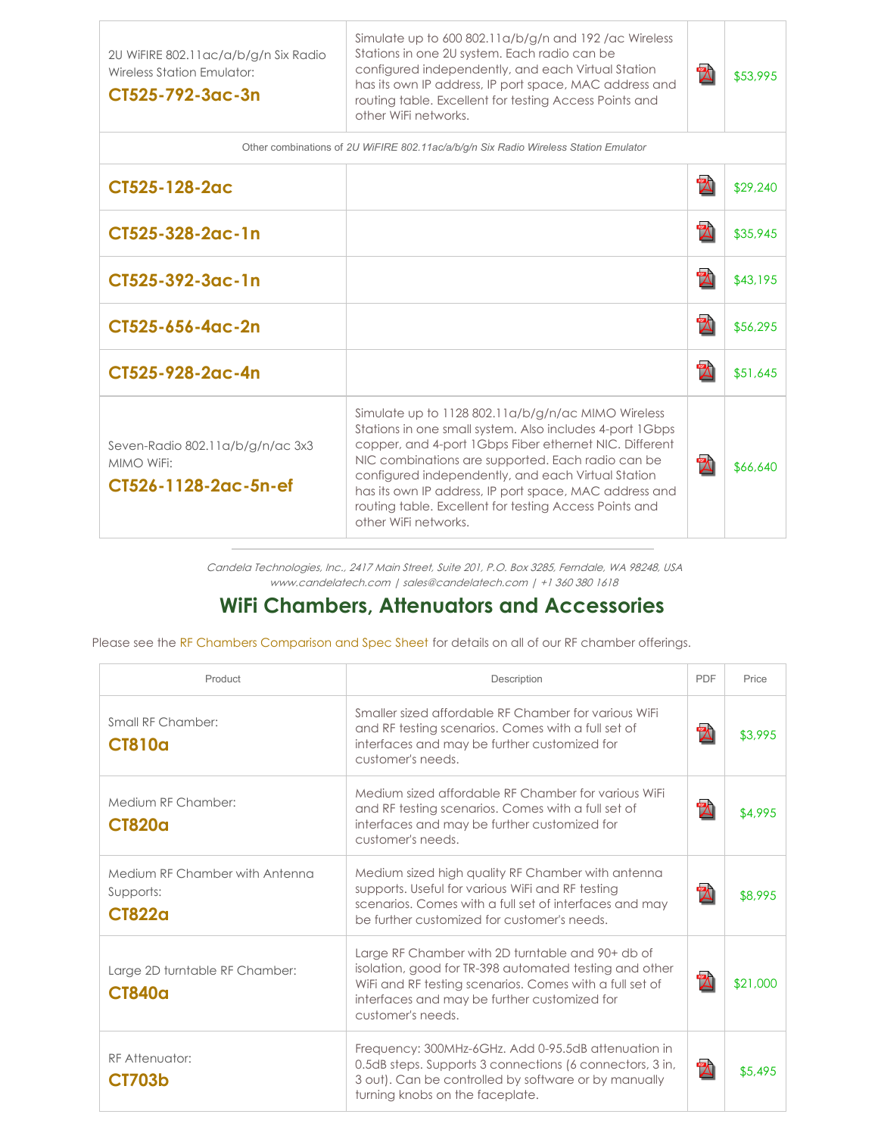2U WiFIRE 802.11ac/a/b/g/n Six Radio Wireless Station Emulator:

#### **CT525-792-3ac-3n**

Simulate up to 600 802.11a/b/g/n and 192 /ac Wireless Stations in one 2U system. Each radio can be configured independently, and each Virtual Station has its own IP address, IP port space, MAC address and routing table. Excellent for testing Access Points and other WiFi networks.

| PDF | \$53,995 |
|-----|----------|
|     |          |

| Other combinations of 2U WiFIRE 802.11ac/a/b/g/n Six Radio Wireless Station Emulator |                                                                                                                                                                                                                                                                                                                                                                                                                                 |              |          |
|--------------------------------------------------------------------------------------|---------------------------------------------------------------------------------------------------------------------------------------------------------------------------------------------------------------------------------------------------------------------------------------------------------------------------------------------------------------------------------------------------------------------------------|--------------|----------|
| CT525-128-2ac                                                                        |                                                                                                                                                                                                                                                                                                                                                                                                                                 | $\mathbb Z$  | \$29,240 |
| CT525-328-2ac-1n                                                                     |                                                                                                                                                                                                                                                                                                                                                                                                                                 | $\mathbb{Z}$ | \$35,945 |
| CT525-392-3ac-1n                                                                     |                                                                                                                                                                                                                                                                                                                                                                                                                                 | $\mathbb Z$  | \$43,195 |
| CT525-656-4ac-2n                                                                     |                                                                                                                                                                                                                                                                                                                                                                                                                                 | $\mathbb Z$  | \$56,295 |
| CT525-928-2ac-4n                                                                     |                                                                                                                                                                                                                                                                                                                                                                                                                                 | $\mathbb Z$  | \$51,645 |
| Seven-Radio 802.11a/b/g/n/ac 3x3<br>MIMO WiFi:<br>CT526-1128-2ac-5n-ef               | Simulate up to 1128 802.11a/b/g/n/ac MIMO Wireless<br>Stations in one small system. Also includes 4-port 1Gbps<br>copper, and 4-port 1Gbps Fiber ethernet NIC. Different<br>NIC combinations are supported. Each radio can be<br>configured independently, and each Virtual Station<br>has its own IP address, IP port space, MAC address and<br>routing table. Excellent for testing Access Points and<br>other WiFi networks. | $\mathbb Z$  | \$66,640 |

Candela Technologies, Inc., 2417 Main Street, Suite 201, P.O. Box 3285, Ferndale, WA 98248, USA www.candelatech.com | sales@candelatech.com | +1 360 380 1618

#### **WiFi Chambers, Attenuators and Accessories**

Please see the RF Chambers [Comparison](http://www.candelatech.com/lf_wifi_chambers.php) and Spec Sheet for details on all of our RF chamber offerings.

| Product                                                      | Description                                                                                                                                                                                                                                | <b>PDF</b>   | Price    |
|--------------------------------------------------------------|--------------------------------------------------------------------------------------------------------------------------------------------------------------------------------------------------------------------------------------------|--------------|----------|
| Small RF Chamber:<br><b>CT810a</b>                           | Smaller sized affordable RF Chamber for various WiFi<br>and RF testing scenarios. Comes with a full set of<br>interfaces and may be further customized for<br>customer's needs.                                                            | $\mathbb{Z}$ | \$3,995  |
| Medium RF Chamber:<br><b>CT820a</b>                          | Medium sized affordable RF Chamber for various WiFi<br>and RF testing scenarios. Comes with a full set of<br>interfaces and may be further customized for<br>customer's needs.                                                             | $\mathbb{Z}$ | \$4,995  |
| Medium RF Chamber with Antenna<br>Supports:<br><b>CT822a</b> | Medium sized high quality RF Chamber with antenna<br>supports. Useful for various WiFi and RF testing<br>scenarios. Comes with a full set of interfaces and may<br>be further customized for customer's needs.                             | $\mathbb{Z}$ | \$8,995  |
| Large 2D turntable RF Chamber:<br><b>CT840a</b>              | Large RF Chamber with 2D turntable and 90+ db of<br>isolation, good for TR-398 automated testing and other<br>WiFi and RF testing scenarios. Comes with a full set of<br>interfaces and may be further customized for<br>customer's needs. | $\mathbb{Z}$ | \$21,000 |
| <b>RF</b> Attenuator:<br><b>CT703b</b>                       | Frequency: 300MHz-6GHz. Add 0-95.5dB attenuation in<br>0.5dB steps. Supports 3 connections (6 connectors, 3 in,<br>3 out). Can be controlled by software or by manually<br>turning knobs on the faceplate.                                 | $\mathbb{Z}$ | \$5,495  |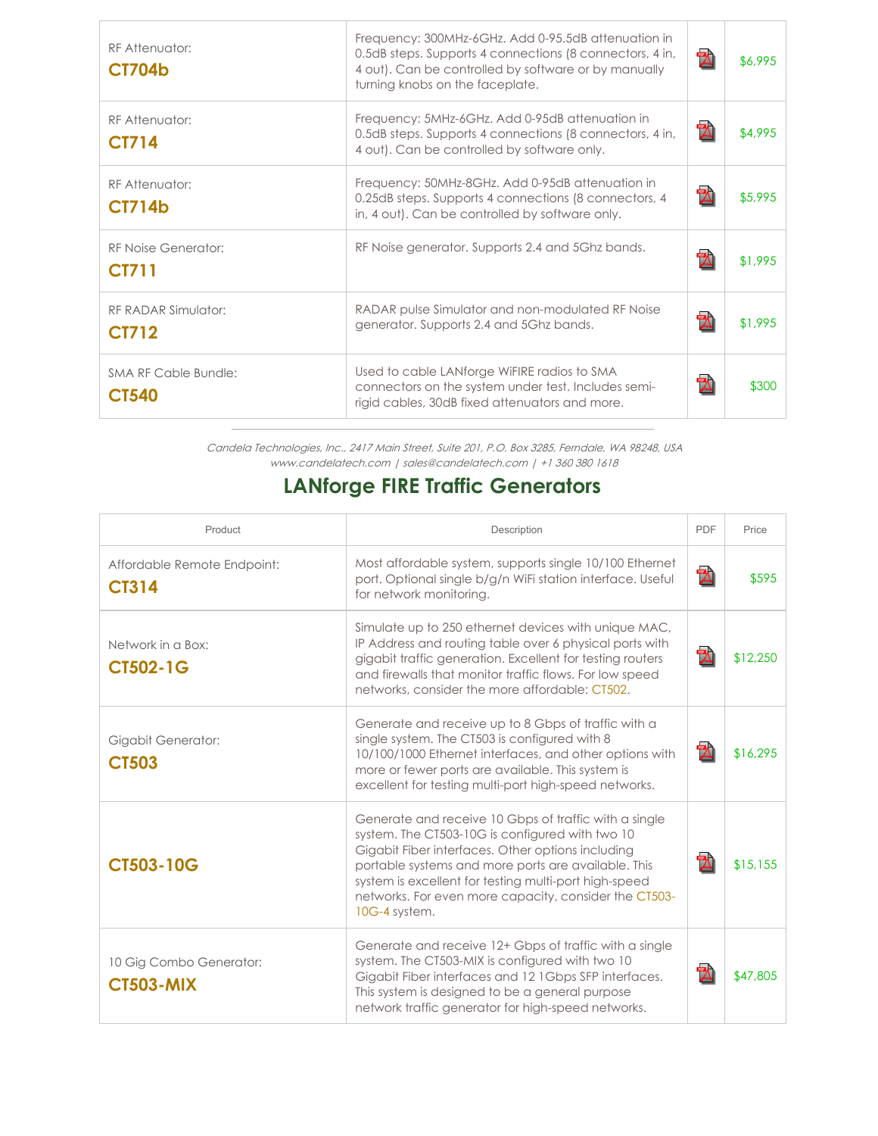| RF Attenuator:<br><b>CT704b</b>             | Frequency: 300MHz-6GHz. Add 0-95.5dB attenuation in<br>0.5dB steps. Supports 4 connections (8 connectors, 4 in,<br>4 out). Can be controlled by software or by manually<br>turning knobs on the faceplate. | $\mathbb{Z}$ | \$6,995 |
|---------------------------------------------|------------------------------------------------------------------------------------------------------------------------------------------------------------------------------------------------------------|--------------|---------|
| RF Attenuator:<br><b>CT714</b>              | Frequency: 5MHz-6GHz. Add 0-95dB attenuation in<br>0.5dB steps. Supports 4 connections (8 connectors, 4 in,<br>4 out). Can be controlled by software only.                                                 | $\mathbb{Z}$ | \$4,995 |
| RF Attenuator:<br><b>CT714b</b>             | Frequency: 50MHz-8GHz. Add 0-95dB attenuation in<br>0.25dB steps. Supports 4 connections (8 connectors, 4<br>in, 4 out). Can be controlled by software only.                                               | $\mathbb Z$  | \$5,995 |
| RF Noise Generator:<br><b>CT711</b>         | RF Noise generator. Supports 2.4 and 5Ghz bands.                                                                                                                                                           | $\mathbb Z$  | \$1,995 |
| RF RADAR Simulator:<br><b>CT712</b>         | RADAR pulse Simulator and non-modulated RF Noise<br>generator. Supports 2.4 and 5Ghz bands.                                                                                                                | $\mathbb Z$  | \$1,995 |
| <b>SMA RF Cable Bundle:</b><br><b>CT540</b> | Used to cable LANforge WiFIRE radios to SMA<br>connectors on the system under test. Includes semi-<br>rigid cables, 30dB fixed attenuators and more.                                                       | $\mathbb Z$  | \$300   |

Candela Technologies, Inc., 2417 Main Street, Suite 201, P.O. Box 3285, Ferndale, WA 98248, USA www.candelatech.com | sales@candelatech.com | +1 360 380 1618

## **LANforge FIRE Traffic Generators**

| Product                                     | Description                                                                                                                                                                                                                                                                                                                                             | <b>PDF</b>                | Price    |
|---------------------------------------------|---------------------------------------------------------------------------------------------------------------------------------------------------------------------------------------------------------------------------------------------------------------------------------------------------------------------------------------------------------|---------------------------|----------|
| Affordable Remote Endpoint:<br><b>CT314</b> | Most affordable system, supports single 10/100 Ethernet<br>port. Optional single b/g/n WiFi station interface. Useful<br>for network monitoring.                                                                                                                                                                                                        | $\boldsymbol{\mathbb{Z}}$ | \$595    |
| Network in a Box:<br><b>CT502-1G</b>        | Simulate up to 250 ethernet devices with unique MAC,<br>IP Address and routing table over 6 physical ports with<br>gigabit traffic generation. Excellent for testing routers<br>and firewalls that monitor traffic flows. For low speed<br>networks, consider the more affordable: CT502.                                                               | $\mathbf{Z}$              | \$12,250 |
| Gigabit Generator:<br><b>CT503</b>          | Generate and receive up to 8 Gbps of traffic with a<br>single system. The CT503 is configured with 8<br>10/100/1000 Ethernet interfaces, and other options with<br>more or fewer ports are available. This system is<br>excellent for testing multi-port high-speed networks.                                                                           | $\mathbb Z$               | \$16,295 |
| <b>CT503-10G</b>                            | Generate and receive 10 Gbps of traffic with a single<br>system. The CT503-10G is configured with two 10<br>Gigabit Fiber interfaces. Other options including<br>portable systems and more ports are available. This<br>system is excellent for testing multi-port high-speed<br>networks. For even more capacity, consider the CT503-<br>10G-4 system. | $\mathbf{Z}$              | \$15,155 |
| 10 Gig Combo Generator:<br><b>CT503-MIX</b> | Generate and receive 12+ Gbps of traffic with a single<br>system. The CT503-MIX is configured with two 10<br>Gigabit Fiber interfaces and 12 1Gbps SFP interfaces.<br>This system is designed to be a general purpose<br>network traffic generator for high-speed networks.                                                                             | $\mathbb{Z}$              | \$47,805 |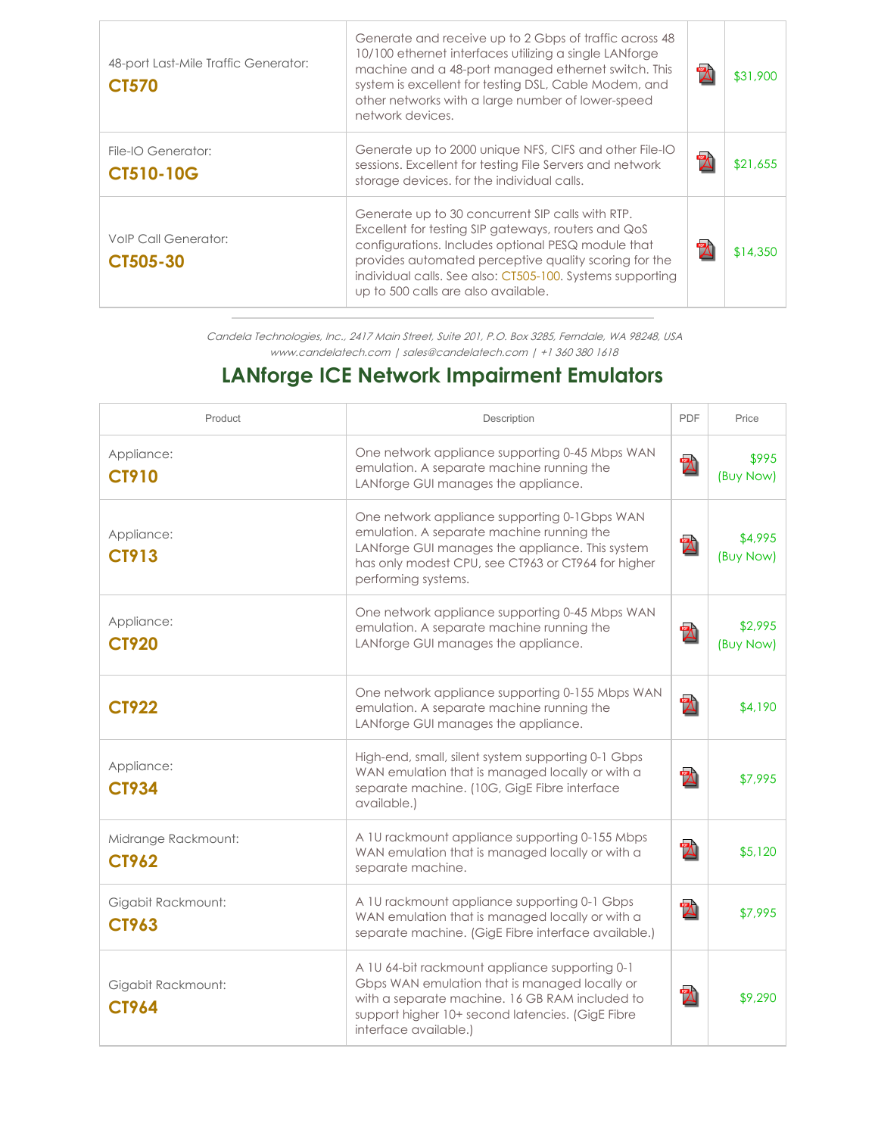| 48-port Last-Mile Traffic Generator:<br><b>CT570</b> | Generate and receive up to 2 Gbps of traffic across 48<br>10/100 ethernet interfaces utilizing a single LANforge<br>machine and a 48-port managed ethernet switch. This<br>system is excellent for testing DSL, Cable Modem, and<br>other networks with a large number of lower-speed<br>network devices.                  | $\mathbb Z$ | \$31,900 |
|------------------------------------------------------|----------------------------------------------------------------------------------------------------------------------------------------------------------------------------------------------------------------------------------------------------------------------------------------------------------------------------|-------------|----------|
| File-IO Generator:<br><b>CT510-10G</b>               | Generate up to 2000 unique NFS, CIFS and other File-IO<br>sessions. Excellent for testing File Servers and network<br>storage devices, for the individual calls.                                                                                                                                                           | $\mathbb Z$ | \$21,655 |
| <b>VolP Call Generator:</b><br>CT505-30              | Generate up to 30 concurrent SIP calls with RTP.<br>Excellent for testing SIP gateways, routers and QoS<br>configurations. Includes optional PESQ module that<br>provides automated perceptive quality scoring for the<br>individual calls. See also: CT505-100. Systems supporting<br>up to 500 calls are also available. | $\mathbb Z$ | \$14,350 |

Candela Technologies, Inc., 2417 Main Street, Suite 201, P.O. Box 3285, Ferndale, WA 98248, USA www.candelatech.com | sales@candelatech.com | +1 360 380 1618

# **LANforge ICE Network Impairment Emulators**

| Product                             | Description                                                                                                                                                                                                                    | PDF          | Price                |
|-------------------------------------|--------------------------------------------------------------------------------------------------------------------------------------------------------------------------------------------------------------------------------|--------------|----------------------|
| Appliance:<br><b>CT910</b>          | One network appliance supporting 0-45 Mbps WAN<br>emulation. A separate machine running the<br>LANforge GUI manages the appliance.                                                                                             | $\mathbb Z$  | \$995<br>(Buy Now)   |
| Appliance:<br><b>CT913</b>          | One network appliance supporting 0-1Gbps WAN<br>emulation. A separate machine running the<br>LANforge GUI manages the appliance. This system<br>has only modest CPU, see CT963 or CT964 for higher<br>performing systems.      | $\mathbb{Z}$ | \$4,995<br>(Buy Now) |
| Appliance:<br><b>CT920</b>          | One network appliance supporting 0-45 Mbps WAN<br>emulation. A separate machine running the<br>LANforge GUI manages the appliance.                                                                                             | $\mathbb{Z}$ | \$2,995<br>(Buy Now) |
| <b>CT922</b>                        | One network appliance supporting 0-155 Mbps WAN<br>emulation. A separate machine running the<br>LANforge GUI manages the appliance.                                                                                            | $\mathbb{Z}$ | \$4,190              |
| Appliance:<br><b>CT934</b>          | High-end, small, silent system supporting 0-1 Gbps<br>WAN emulation that is managed locally or with a<br>separate machine. (10G, GigE Fibre interface<br>available.)                                                           | $\mathbb{Z}$ | \$7,995              |
| Midrange Rackmount:<br><b>CT962</b> | A 1U rackmount appliance supporting 0-155 Mbps<br>WAN emulation that is managed locally or with a<br>separate machine.                                                                                                         | $\mathbf{Z}$ | \$5,120              |
| Gigabit Rackmount:<br>CT963         | A 1U rackmount appliance supporting 0-1 Gbps<br>WAN emulation that is managed locally or with a<br>separate machine. (GigE Fibre interface available.)                                                                         | $\mathbb{Z}$ | \$7,995              |
| Gigabit Rackmount:<br><b>CT964</b>  | A 1U 64-bit rackmount appliance supporting 0-1<br>Gbps WAN emulation that is managed locally or<br>with a separate machine. 16 GB RAM included to<br>support higher 10+ second latencies. (GigE Fibre<br>interface available.) | $\mathbb Z$  | \$9,290              |